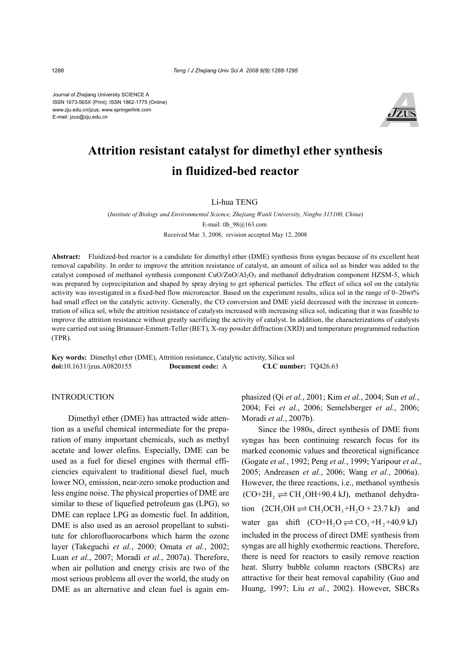Journal of Zhejiang University SCIENCE A ISSN 1673-565X (Print); ISSN 1862-1775 (Online) www.zju.edu.cn/jzus; www.springerlink.com E-mail: jzus@zju.edu.cn



# **Attrition resistant catalyst for dimethyl ether synthesis in fluidized-bed reactor**

Li-hua TENG

(*Institute of Biology and Environmental Science, Zhejiang Wanli University, Ningbo 315100, China*) E-mail: tlh\_98@163.com Received Mar. 3, 2008; revision accepted May 12, 2008

**Abstract:** Fluidized-bed reactor is a candidate for dimethyl ether (DME) synthesis from syngas because of its excellent heat removal capability. In order to improve the attrition resistance of catalyst, an amount of silica sol as binder was added to the catalyst composed of methanol synthesis component  $CuO/ZnO/AI<sub>2</sub>O<sub>3</sub>$  and methanol dehydration component HZSM-5, which was prepared by coprecipitation and shaped by spray drying to get spherical particles. The effect of silica sol on the catalytic activity was investigated in a fixed-bed flow microreactor. Based on the experiment results, silica sol in the range of  $0\nu$ -20wt% had small effect on the catalytic activity. Generally, the CO conversion and DME yield decreased with the increase in concentration of silica sol, while the attrition resistance of catalysts increased with increasing silica sol, indicating that it was feasible to improve the attrition resistance without greatly sacrificing the activity of catalyst. In addition, the characterizations of catalysts were carried out using Brunauer-Emmett-Teller (BET), X-ray powder diffraction (XRD) and temperature programmed reduction (TPR).

**Key words:** Dimethyl ether (DME), Attrition resistance, Catalytic activity, Silica sol **doi:**10.1631/jzus.A0820155 **Document code:** A **CLC number:** TQ426.63

## INTRODUCTION

Dimethyl ether (DME) has attracted wide attention as a useful chemical intermediate for the preparation of many important chemicals, such as methyl acetate and lower olefins. Especially, DME can be used as a fuel for diesel engines with thermal efficiencies equivalent to traditional diesel fuel, much lower NO*x* emission, near-zero smoke production and less engine noise. The physical properties of DME are similar to these of liquefied petroleum gas (LPG), so DME can replace LPG as domestic fuel. In addition, DME is also used as an aerosol propellant to substitute for chlorofluorocarbons which harm the ozone layer (Takeguchi *et al.*, 2000; Omata *et al.*, 2002; Luan *et al.*, 2007; Moradi *et al.*, 2007a). Therefore, when air pollution and energy crisis are two of the most serious problems all over the world, the study on DME as an alternative and clean fuel is again emphasized (Qi *et al.*, 2001; Kim *et al.*, 2004; Sun *et al.*, 2004; Fei *et al.*, 2006; Semelsberger *et al.*, 2006; Moradi *et al.*, 2007b).

Since the 1980s, direct synthesis of DME from syngas has been continuing research focus for its marked economic values and theoretical significance (Gogate *et al.*, 1992; Peng *et al.*, 1999; Yaripour *et al.*, 2005; Andreasen *et al.*, 2006; Wang *et al.*, 2006a). However, the three reactions, i.e., methanol synthesis  $(CO+2H<sub>2</sub> \rightleftharpoons CH<sub>3</sub>OH+90.4 \text{ kJ})$ , methanol dehydration  $(2CH_3OH \rightleftharpoons CH_3OCH_3 + H_2O + 23.7 \text{ kJ})$  and water gas shift  $(CO+H<sub>2</sub>O \rightleftharpoons CO<sub>2</sub>+H<sub>2</sub>+40.9 kJ)$ included in the process of direct DME synthesis from syngas are all highly exothermic reactions. Therefore, there is need for reactors to easily remove reaction heat. Slurry bubble column reactors (SBCRs) are attractive for their heat removal capability (Guo and Huang, 1997; Liu *et al.*, 2002). However, SBCRs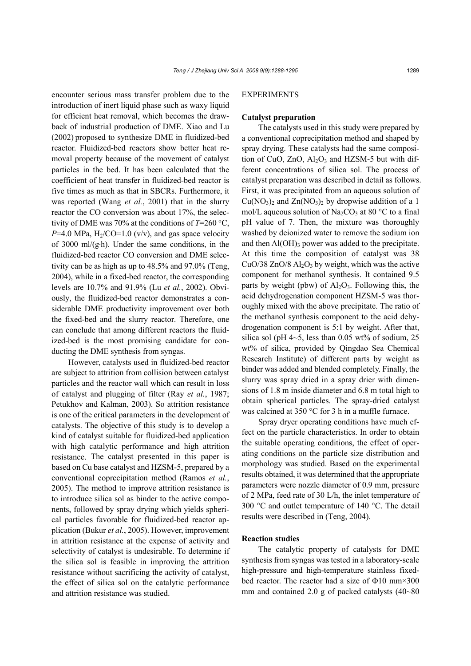encounter serious mass transfer problem due to the introduction of inert liquid phase such as waxy liquid for efficient heat removal, which becomes the drawback of industrial production of DME. Xiao and Lu (2002) proposed to synthesize DME in fluidized-bed reactor. Fluidized-bed reactors show better heat removal property because of the movement of catalyst particles in the bed. It has been calculated that the coefficient of heat transfer in fluidized-bed reactor is five times as much as that in SBCRs. Furthermore, it was reported (Wang *et al.*, 2001) that in the slurry reactor the CO conversion was about 17%, the selectivity of DME was 70% at the conditions of *T*=260 °C,  $P=4.0$  MPa,  $H<sub>2</sub>/CO=1.0$  (v/v), and gas space velocity of 3000 ml/ $(g-h)$ . Under the same conditions, in the fluidized-bed reactor CO conversion and DME selectivity can be as high as up to 48.5% and 97.0% (Teng, 2004), while in a fixed-bed reactor, the corresponding levels are 10.7% and 91.9% (Lu *et al.*, 2002). Obviously, the fluidized-bed reactor demonstrates a considerable DME productivity improvement over both the fixed-bed and the slurry reactor. Therefore, one can conclude that among different reactors the fluidized-bed is the most promising candidate for conducting the DME synthesis from syngas.

However, catalysts used in fluidized-bed reactor are subject to attrition from collision between catalyst particles and the reactor wall which can result in loss of catalyst and plugging of filter (Ray *et al.*, 1987; Petukhov and Kalman, 2003). So attrition resistance is one of the critical parameters in the development of catalysts. The objective of this study is to develop a kind of catalyst suitable for fluidized-bed application with high catalytic performance and high attrition resistance. The catalyst presented in this paper is based on Cu base catalyst and HZSM-5, prepared by a conventional coprecipitation method (Ramos *et al.*, 2005). The method to improve attrition resistance is to introduce silica sol as binder to the active components, followed by spray drying which yields spherical particles favorable for fluidized-bed reactor application (Bukur *et al.*, 2005). However, improvement in attrition resistance at the expense of activity and selectivity of catalyst is undesirable. To determine if the silica sol is feasible in improving the attrition resistance without sacrificing the activity of catalyst, the effect of silica sol on the catalytic performance and attrition resistance was studied.

# EXPERIMENTS

#### **Catalyst preparation**

The catalysts used in this study were prepared by a conventional coprecipitation method and shaped by spray drying. These catalysts had the same composition of CuO,  $ZnO$ ,  $Al_2O_3$  and HZSM-5 but with different concentrations of silica sol. The process of catalyst preparation was described in detail as follows. First, it was precipitated from an aqueous solution of  $Cu(NO<sub>3</sub>)<sub>2</sub>$  and  $Zn(NO<sub>3</sub>)<sub>2</sub>$  by dropwise addition of a 1 mol/L aqueous solution of  $Na<sub>2</sub>CO<sub>3</sub>$  at 80 °C to a final pH value of 7. Then, the mixture was thoroughly washed by deionized water to remove the sodium ion and then  $Al(OH)$ <sub>3</sub> power was added to the precipitate. At this time the composition of catalyst was 38 CuO/38 ZnO/8  $Al_2O_3$  by weight, which was the active component for methanol synthesis. It contained 9.5 parts by weight (pbw) of  $Al_2O_3$ . Following this, the acid dehydrogenation component HZSM-5 was thoroughly mixed with the above precipitate. The ratio of the methanol synthesis component to the acid dehydrogenation component is 5:1 by weight. After that, silica sol (pH  $4\neg 5$ , less than 0.05 wt% of sodium, 25 wt% of silica, provided by Qingdao Sea Chemical Research Institute) of different parts by weight as binder was added and blended completely. Finally, the slurry was spray dried in a spray drier with dimensions of 1.8 m inside diameter and 6.8 m total high to obtain spherical particles. The spray-dried catalyst was calcined at 350 °C for 3 h in a muffle furnace.

Spray dryer operating conditions have much effect on the particle characteristics. In order to obtain the suitable operating conditions, the effect of operating conditions on the particle size distribution and morphology was studied. Based on the experimental results obtained, it was determined that the appropriate parameters were nozzle diameter of 0.9 mm, pressure of 2 MPa, feed rate of 30 L/h, the inlet temperature of 300 °C and outlet temperature of 140 °C. The detail results were described in (Teng, 2004).

## **Reaction studies**

The catalytic property of catalysts for DME synthesis from syngas was tested in a laboratory-scale high-pressure and high-temperature stainless fixedbed reactor. The reactor had a size of Φ10 mm×300 mm and contained 2.0 g of packed catalysts (40~80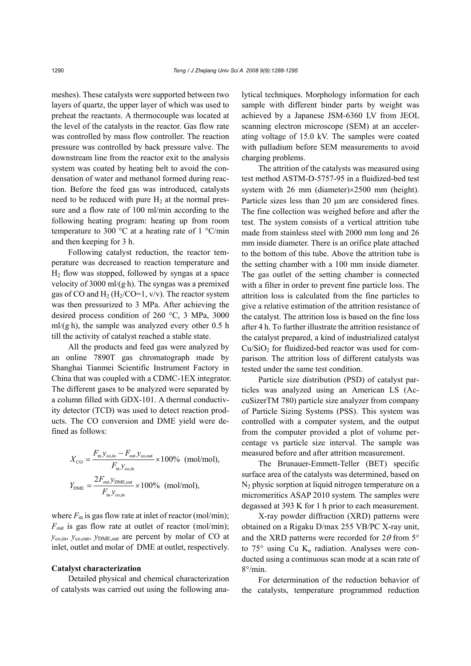meshes). These catalysts were supported between two layers of quartz, the upper layer of which was used to preheat the reactants. A thermocouple was located at the level of the catalysts in the reactor. Gas flow rate was controlled by mass flow controller. The reaction pressure was controlled by back pressure valve. The downstream line from the reactor exit to the analysis system was coated by heating belt to avoid the condensation of water and methanol formed during reaction. Before the feed gas was introduced, catalysts need to be reduced with pure  $H_2$  at the normal pressure and a flow rate of 100 ml/min according to the following heating program: heating up from room temperature to 300  $\degree$ C at a heating rate of 1  $\degree$ C/min and then keeping for 3 h.

Following catalyst reduction, the reactor temperature was decreased to reaction temperature and  $H<sub>2</sub>$  flow was stopped, followed by syngas at a space velocity of 3000 ml/(g·h). The syngas was a premixed gas of CO and  $H_2$  (H<sub>2</sub>/CO=1, v/v). The reactor system was then pressurized to 3 MPa. After achieving the desired process condition of 260 °C, 3 MPa, 3000  $m/(g \cdot h)$ , the sample was analyzed every other 0.5 h till the activity of catalyst reached a stable state.

All the products and feed gas were analyzed by an online 7890T gas chromatograph made by Shanghai Tianmei Scientific Instrument Factory in China that was coupled with a CDMC-1EX integrator. The different gases to be analyzed were separated by a column filled with GDX-101. A thermal conductivity detector (TCD) was used to detect reaction products. The CO conversion and DME yield were defined as follows:

$$
X_{\rm CO} = \frac{F_{\rm in} y_{\rm co,in} - F_{\rm out} y_{\rm co,out}}{F_{\rm in} y_{\rm co,in}} \times 100\% \text{ (mol/mol)},
$$
  

$$
Y_{\rm DME} = \frac{2F_{\rm out} y_{\rm DME,out}}{F_{\rm in} y_{\rm co,in}} \times 100\% \text{ (mol/mol)},
$$

where  $F_{\text{in}}$  is gas flow rate at inlet of reactor (mol/min);  $F_{\text{out}}$  is gas flow rate at outlet of reactor (mol/min); *y*co,in, *y*co,out, *y*DME,out are percent by molar of CO at inlet, outlet and molar of DME at outlet, respectively.

#### **Catalyst characterization**

Detailed physical and chemical characterization of catalysts was carried out using the following analytical techniques. Morphology information for each sample with different binder parts by weight was achieved by a Japanese JSM-6360 LV from JEOL scanning electron microscope (SEM) at an accelerating voltage of 15.0 kV. The samples were coated with palladium before SEM measurements to avoid charging problems.

The attrition of the catalysts was measured using test method ASTM-D-5757-95 in a fluidized-bed test system with 26 mm (diameter)×2500 mm (height). Particle sizes less than 20 μm are considered fines. The fine collection was weighed before and after the test. The system consists of a vertical attrition tube made from stainless steel with 2000 mm long and 26 mm inside diameter. There is an orifice plate attached to the bottom of this tube. Above the attrition tube is the setting chamber with a 100 mm inside diameter. The gas outlet of the setting chamber is connected with a filter in order to prevent fine particle loss. The attrition loss is calculated from the fine particles to give a relative estimation of the attrition resistance of the catalyst. The attrition loss is based on the fine loss after 4 h. To further illustrate the attrition resistance of the catalyst prepared, a kind of industrialized catalyst  $Cu/SiO<sub>2</sub>$  for fluidized-bed reactor was used for comparison. The attrition loss of different catalysts was tested under the same test condition.

Particle size distribution (PSD) of catalyst particles was analyzed using an American LS (AccuSizerTM 780) particle size analyzer from company of Particle Sizing Systems (PSS). This system was controlled with a computer system, and the output from the computer provided a plot of volume percentage vs particle size interval. The sample was measured before and after attrition measurement.

The Brunauer-Emmett-Teller (BET) specific surface area of the catalysts was determined, based on  $N_2$  physic sorption at liquid nitrogen temperature on a micromeritics ASAP 2010 system. The samples were degassed at 393 K for 1 h prior to each measurement.

X-ray powder diffraction (XRD) patterns were obtained on a Rigaku D/max 255 VB/PC X-ray unit, and the XRD patterns were recorded for  $2\theta$  from  $5^{\circ}$ to 75 $\degree$  using Cu K<sub>a</sub> radiation. Analyses were conducted using a continuous scan mode at a scan rate of 8°/min.

For determination of the reduction behavior of the catalysts, temperature programmed reduction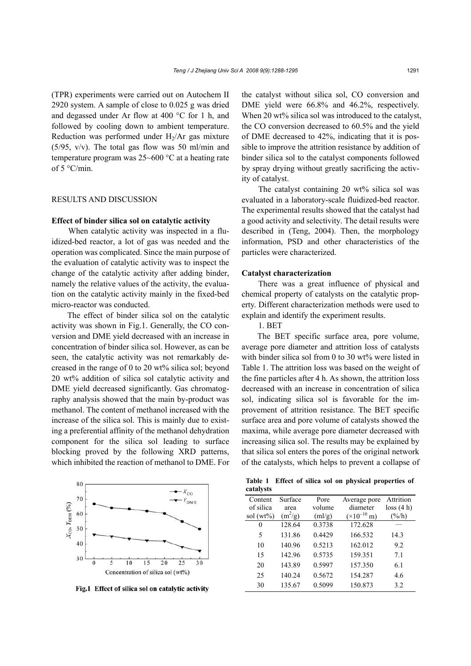(TPR) experiments were carried out on Autochem II 2920 system. A sample of close to 0.025 g was dried and degassed under Ar flow at 400 °C for 1 h, and followed by cooling down to ambient temperature. Reduction was performed under  $H<sub>2</sub>/Ar$  gas mixture  $(5/95, v/v)$ . The total gas flow was 50 ml/min and temperature program was 25~600 °C at a heating rate of 5 °C/min.

# RESULTS AND DISCUSSION

#### **Effect of binder silica sol on catalytic activity**

When catalytic activity was inspected in a fluidized-bed reactor, a lot of gas was needed and the operation was complicated. Since the main purpose of the evaluation of catalytic activity was to inspect the change of the catalytic activity after adding binder, namely the relative values of the activity, the evaluation on the catalytic activity mainly in the fixed-bed micro-reactor was conducted.

The effect of binder silica sol on the catalytic activity was shown in Fig.1. Generally, the CO conversion and DME yield decreased with an increase in concentration of binder silica sol. However, as can be seen, the catalytic activity was not remarkably decreased in the range of 0 to 20 wt% silica sol; beyond 20 wt% addition of silica sol catalytic activity and DME yield decreased significantly. Gas chromatography analysis showed that the main by-product was methanol. The content of methanol increased with the increase of the silica sol. This is mainly due to existing a preferential affinity of the methanol dehydration component for the silica sol leading to surface blocking proved by the following XRD patterns, which inhibited the reaction of methanol to DME. For



Fig.1 Effect of silica sol on catalytic activity

the catalyst without silica sol, CO conversion and DME yield were 66.8% and 46.2%, respectively. When 20 wt% silica sol was introduced to the catalyst, the CO conversion decreased to 60.5% and the yield of DME decreased to 42%, indicating that it is possible to improve the attrition resistance by addition of binder silica sol to the catalyst components followed by spray drying without greatly sacrificing the activity of catalyst.

The catalyst containing 20 wt% silica sol was evaluated in a laboratory-scale fluidized-bed reactor. The experimental results showed that the catalyst had a good activity and selectivity. The detail results were described in (Teng, 2004). Then, the morphology information, PSD and other characteristics of the particles were characterized.

## **Catalyst characterization**

There was a great influence of physical and chemical property of catalysts on the catalytic property. Different characterization methods were used to explain and identify the experiment results.

## 1. BET

The BET specific surface area, pore volume, average pore diameter and attrition loss of catalysts with binder silica sol from 0 to 30 wt% were listed in Table 1. The attrition loss was based on the weight of the fine particles after 4 h. As shown, the attrition loss decreased with an increase in concentration of silica sol, indicating silica sol is favorable for the improvement of attrition resistance. The BET specific surface area and pore volume of catalysts showed the maxima, while average pore diameter decreased with increasing silica sol. The results may be explained by that silica sol enters the pores of the original network of the catalysts, which helps to prevent a collapse of

|           |  |  |  | Table 1 Effect of silica sol on physical properties of |  |
|-----------|--|--|--|--------------------------------------------------------|--|
| catalysts |  |  |  |                                                        |  |

| Content      | Surface   | Pore   | Average pore                  | Attrition       |
|--------------|-----------|--------|-------------------------------|-----------------|
| of silica    | area      | volume | diameter                      | loss(4 h)       |
| sol $(wt\%)$ | $(m^2/g)$ | (ml/g) | $(\times 10^{-10} \text{ m})$ | $(\frac{6}{h})$ |
| 0            | 128.64    | 0.3738 | 172.628                       |                 |
| 5            | 131.86    | 0.4429 | 166.532                       | 14.3            |
| 10           | 140.96    | 0.5213 | 162.012                       | 9.2             |
| 15           | 142.96    | 0.5735 | 159.351                       | 7.1             |
| 20           | 143.89    | 0.5997 | 157.350                       | 6.1             |
| 25           | 140.24    | 0.5672 | 154.287                       | 4.6             |
| 30           | 135.67    | 0.5099 | 150.873                       | 3.2             |
|              |           |        |                               |                 |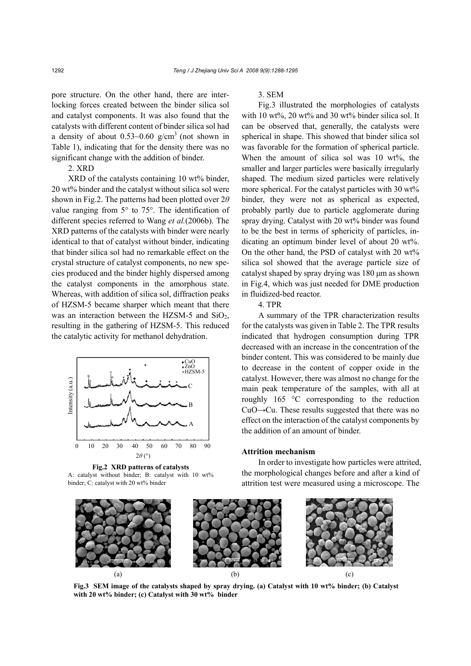pore structure. On the other hand, there are interlocking forces created between the binder silica sol and catalyst components. It was also found that the catalysts with different content of binder silica sol had a density of about  $0.53{\sim}0.60$  g/cm<sup>3</sup> (not shown in Table 1), indicating that for the density there was no significant change with the addition of binder.

## 2. XRD

XRD of the catalysts containing 10 wt% binder, 20 wt% binder and the catalyst without silica sol were shown in Fig.2. The patterns had been plotted over 2*θ* value ranging from 5° to 75°. The identification of different species referred to Wang *et al.*(2006b). The XRD patterns of the catalysts with binder were nearly identical to that of catalyst without binder, indicating that binder silica sol had no remarkable effect on the crystal structure of catalyst components, no new species produced and the binder highly dispersed among the catalyst components in the amorphous state. Whereas, with addition of silica sol, diffraction peaks of HZSM-5 became sharper which meant that there was an interaction between the HZSM-5 and  $SiO<sub>2</sub>$ , resulting in the gathering of HZSM-5. This reduced the catalytic activity for methanol dehydration.



**Fig.2 XRD patterns of catalysts**  A: catalyst without binder; B: catalyst with 10 wt%

## 3. SEM

Fig.3 illustrated the morphologies of catalysts with 10 wt%, 20 wt% and 30 wt% binder silica sol. It can be observed that, generally, the catalysts were spherical in shape. This showed that binder silica sol was favorable for the formation of spherical particle. When the amount of silica sol was 10 wt%, the smaller and larger particles were basically irregularly shaped. The medium sized particles were relatively more spherical. For the catalyst particles with 30 wt% binder, they were not as spherical as expected, probably partly due to particle agglomerate during spray drying. Catalyst with 20 wt% binder was found to be the best in terms of sphericity of particles, indicating an optimum binder level of about 20 wt%. On the other hand, the PSD of catalyst with 20 wt% silica sol showed that the average particle size of catalyst shaped by spray drying was 180 μm as shown in Fig.4, which was just needed for DME production in fluidized-bed reactor.

4. TPR

A summary of the TPR characterization results for the catalysts was given in Table 2. The TPR results indicated that hydrogen consumption during TPR decreased with an increase in the concentration of the binder content. This was considered to be mainly due to decrease in the content of copper oxide in the catalyst. However, there was almost no change for the main peak temperature of the samples, with all at roughly 165 °C corresponding to the reduction CuO→Cu. These results suggested that there was no effect on the interaction of the catalyst components by the addition of an amount of binder.

#### **Attrition mechanism**

In order to investigate how particles were attrited, the morphological changes before and after a kind of attrition test were measured using a microscope. The



**Fig.3 SEM image of the catalysts shaped by spray drying. (a) Catalyst with 10 wt% binder; (b) Catalyst with 20 wt% binder; (c) Catalyst with 30 wt% binder**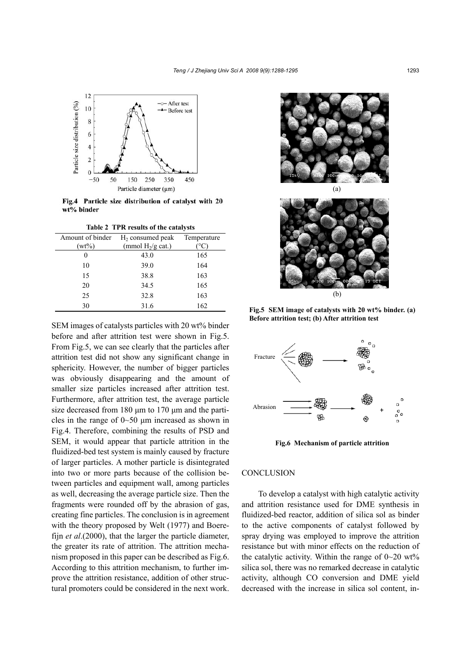

Fig.4 Particle size distribution of catalyst with 20 wt% binder

**Table 2 TPR results of the catalysts** 

| Amount of binder | $H2$ consumed peak  | Temperature |
|------------------|---------------------|-------------|
| $(wt\%)$         | (mmol $H_2/g$ cat.) |             |
| 0                | 43.0                | 165         |
| 10               | 39.0                | 164         |
| 15               | 38.8                | 163         |
| 20               | 34.5                | 165         |
| 25               | 32.8                | 163         |
| 30               | 31.6                | 162         |

SEM images of catalysts particles with 20 wt% binder before and after attrition test were shown in Fig.5. From Fig.5, we can see clearly that the particles after attrition test did not show any significant change in sphericity. However, the number of bigger particles was obviously disappearing and the amount of smaller size particles increased after attrition test. Furthermore, after attrition test, the average particle size decreased from 180 μm to 170 μm and the particles in the range of  $0\neg 50$  µm increased as shown in Fig.4. Therefore, combining the results of PSD and SEM, it would appear that particle attrition in the fluidized-bed test system is mainly caused by fracture of larger particles. A mother particle is disintegrated into two or more parts because of the collision between particles and equipment wall, among particles as well, decreasing the average particle size. Then the fragments were rounded off by the abrasion of gas, creating fine particles. The conclusion is in agreement with the theory proposed by Welt (1977) and Boerefijn *et al*.(2000), that the larger the particle diameter, the greater its rate of attrition. The attrition mechanism proposed in this paper can be described as Fig.6. According to this attrition mechanism, to further improve the attrition resistance, addition of other structural promoters could be considered in the next work.





**Fig.5 SEM image of catalysts with 20 wt% binder. (a) Before attrition test; (b) After attrition test** 



**Fig.6 Mechanism of particle attrition** 

## **CONCLUSION**

To develop a catalyst with high catalytic activity and attrition resistance used for DME synthesis in fluidized-bed reactor, addition of silica sol as binder to the active components of catalyst followed by spray drying was employed to improve the attrition resistance but with minor effects on the reduction of the catalytic activity. Within the range of  $0\nu$ -20 wt% silica sol, there was no remarked decrease in catalytic activity, although CO conversion and DME yield decreased with the increase in silica sol content, in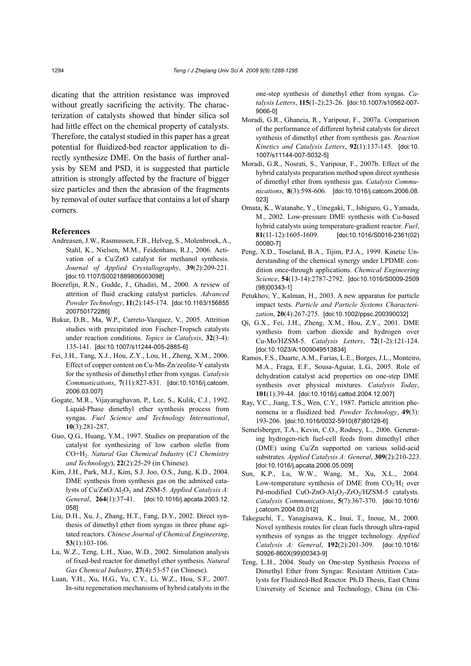dicating that the attrition resistance was improved without greatly sacrificing the activity. The characterization of catalysts showed that binder silica sol had little effect on the chemical property of catalysts. Therefore, the catalyst studied in this paper has a great potential for fluidized-bed reactor application to directly synthesize DME. On the basis of further analysis by SEM and PSD, it is suggested that particle attrition is strongly affected by the fracture of bigger size particles and then the abrasion of the fragments by removal of outer surface that contains a lot of sharp corners.

#### **References**

- Andreasen, J.W., Rasmussen, F.B., Helveg, S., Molenbroek, A., Stahl, K., Nielsen, M.M., Feidenhans, R.J., 2006. Activation of a Cu/ZnO catalyst for methanol synthesis. *Journal of Applied Crystallography*, **39**(2):209-221. [doi:10.1107/S0021889806003098]
- Boerefijn, R.N., Gudde, J., Ghadiri, M., 2000. A review of attrition of fluid cracking catalyst particles. *Advanced Powder Technology*, **11**(2):145-174. [doi:10.1163/156855 200750172286]
- Bukur, D.B., Ma, W.P., Carreto-Vazquez, V., 2005. Attrition studies with precipitated iron Fischer-Tropsch catalysts under reaction conditions. *Topics in Catalysis*, **32**(3-4): 135-141. [doi:10.1007/s11244-005-2885-6]
- Fei, J.H., Tang, X.J., Hou, Z.Y., Lou, H., Zheng, X.M., 2006. Effect of copper content on Cu-Mn-Zn/zeolite-Y catalysts for the synthesis of dimethyl ether from syngas. *Catalysis Communications*, **7**(11):827-831. [doi:10.1016/j.catcom. 2006.03.007]
- Gogate, M.R., Vijayaraghavan, P., Lee, S., Kulik, C.J*.*, 1992. Liquid-Phase dimethyl ether synthesis process from syngas. *Fuel Science and Technology International*, **10**(3):281-287.
- Guo, Q.G., Huang, Y.M., 1997. Studies on preparation of the catalyst for synthesizing of low carbon olefin from CO+H2. *Natural Gas Chemical Industry* (*C1 Chemistry and Technology*), **22**(2):25-29 (in Chinese).
- Kim, J.H., Park, M.J., Kim, S.J. Joo, O.S., Jung, K.D., 2004. DME synthesis from synthesis gas on the admixed catalysts of Cu/ZnO/Al<sub>2</sub>O<sub>3</sub> and ZSM-5. *Applied Catalysis A: General*, **264**(1):37-41. [doi:10.1016/j.apcata.2003.12. 058]
- Liu, D.H., Xu, J., Zhang, H.T., Fang, D.Y., 2002. Direct synthesis of dimethyl ether from syngas in three phase agitated reactors. *Chinese Journal of Chemical Engineering*, **53**(1):103-106.
- Lu, W.Z., Teng, L.H., Xiao, W.D., 2002. Simulation analysis of fixed-bed reactor for dimethyl ether synthesis. *Natural Gas Chemical Industry*, **27**(4):53-57 (in Chinese).
- Luan, Y.H., Xu, H.G., Yu, C.Y., Li, W.Z., Hou, S.F., 2007. In-situ regeneration mechanisms of hybrid catalysts in the

one-step synthesis of dimethyl ether from syngas. *Catalysis Letters*, **115**(1-2):23-26. [doi:10.1007/s10562-007- 9066-0]

- Moradi, G.R., Ghaneia, R., Yaripour, F., 2007a. Comparison of the performance of different hybrid catalysts for direct synthesis of dimethyl ether from synthesis gas. *Reaction Kinetics and Catalysis Letters*, **92**(1):137-145. [doi:10. 1007/s11144-007-5032-5]
- Moradi, G.R., Nosrati, S., Yaripour, F., 2007b. Effect of the hybrid catalysts preparation method upon direct synthesis of dimethyl ether from synthesis gas. *Catalysis Communications*, **8**(3):598-606. [doi:10.1016/j.catcom.2006.08. 023]
- Omata, K., Watanabe, Y., Umegaki, T., Ishiguro, G., Yamada, M., 2002. Low-pressure DME synthesis with Cu-based hybrid catalysts using temperature-gradient reactor. *Fuel*, **81**(11-12):1605-1609. [doi:10.1016/S0016-2361(02) 00080-7]
- Peng, X.D., Toseland, B.A., Tijim, P.J.A., 1999. Kinetic Understanding of the chemical synergy under LPDME condition once-through applications. *Chemical Engineering Science*, **54**(13-14):2787-2792. [doi:10.1016/S0009-2509 (98)00343-1]
- Petukhov, Y., Kalman, H., 2003. A new apparatus for particle impact tests. *Particle and Particle Systems Characterization*, **20**(4):267-275. [doi:10.1002/ppsc.200390032]
- Qi, G.X., Fei, J.H., Zheng, X.M., Hou, Z.Y., 2001. DME synthesis from carbon dioxide and hydrogen over Cu-Mo/HZSM-5. *Catalysis Letters*, **72**(1-2):121-124. [doi:10.1023/A:1009049513834]
- Ramos, F.S., Duarte, A.M., Farias, L.E., Borges, J.L., Monteiro, M.A., Fraga, E.F., Sousa-Aguiar, L.G., 2005. Role of dehydration catalyst acid properties on one-step DME synthesis over physical mixtures. *Catalysis Today*, **101**(1):39-44. [doi:10.1016/j.cattod.2004.12.007]
- Ray, Y.C., Jiang, T.S., Wen, C.Y., 1987. Particle attrition phenomena in a fluidized bed. *Powder Technology*, **49**(3): 193-206. [doi:10.1016/0032-5910(87)80128-6]
- Semelsberger, T.A., Kevin, C.O., Rodney, L., 2006. Generating hydrogen-rich fuel-cell feeds from dimethyl ether (DME) using Cu/Zn supported on various solid-acid substrates. *Applied Catalysis A: General*, **309**(2):210-223. [doi:10.1016/j.apcata.2006.05.009]
- Sun, K.P., Lu, W.W., Wang, M., Xu, X.L., 2004. Low-temperature synthesis of DME from  $CO<sub>2</sub>/H<sub>2</sub>$  over Pd-modified CuO-ZnO-Al<sub>2</sub>O<sub>3</sub>-ZrO<sub>2</sub>/HZSM-5 catalysts. *Catalysis Communications*, **5**(7):367-370. [doi:10.1016/ j.catcom.2004.03.012]
- Takeguchi, T., Yanagisawa, K., Inui, T., Inoue, M., 2000. Novel synthesis routes for clean fuels through ultra-rapid synthesis of syngas as the trigger technology. *Applied Catalysis A: General*, **192**(2):201-309. [doi:10.1016/ S0926-860X(99)00343-9]
- Teng, L.H., 2004. Study on One-step Synthesis Process of Dimethyl Ether from Syngas: Resistant Attrition Catalysts for Fluidized-Bed Reactor. Ph.D Thesis, East China University of Science and Technology, China (in Chi-